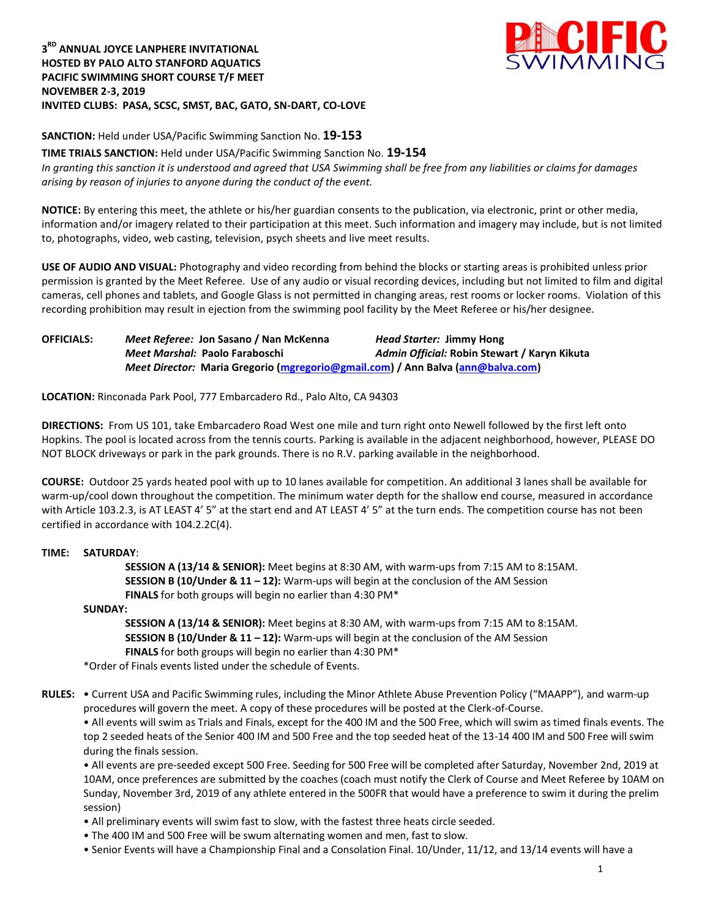## **3 RD ANNUAL JOYCE LANPHERE INVITATIONAL HOSTED BY PALO ALTO STANFORD AQUATICS PACIFIC SWIMMING SHORT COURSE T/F MEET NOVEMBER 2-3, 2019 INVITED CLUBS: PASA, SCSC, SMST, BAC, GATO, SN-DART, CO-LOVE**



**SANCTION:** Held under USA/Pacific Swimming Sanction No. **19-153**

**TIME TRIALS SANCTION:** Held under USA/Pacific Swimming Sanction No. **19-154** *In granting this sanction it is understood and agreed that USA Swimming shall be free from any liabilities or claims for damages arising by reason of injuries to anyone during the conduct of the event.*

**NOTICE:** By entering this meet, the athlete or his/her guardian consents to the publication, via electronic, print or other media, information and/or imagery related to their participation at this meet. Such information and imagery may include, but is not limited to, photographs, video, web casting, television, psych sheets and live meet results.

**USE OF AUDIO AND VISUAL:** Photography and video recording from behind the blocks or starting areas is prohibited unless prior permission is granted by the Meet Referee. Use of any audio or visual recording devices, including but not limited to film and digital cameras, cell phones and tablets, and Google Glass is not permitted in changing areas, rest rooms or locker rooms. Violation of this recording prohibition may result in ejection from the swimming pool facility by the Meet Referee or his/her designee.

**OFFICIALS:** *Meet Referee:* **Jon Sasano / Nan McKenna** *Head Starter:* **Jimmy Hong** *Meet Marshal:* **Paolo Faraboschi** *Admin Official:* **Robin Stewart / Karyn Kikuta** *Meet Director:* **Maria Gregorio [\(mgregorio@gmail.com\)](mailto:mgregorio@gmail.com) / Ann Balva [\(ann@balva.com\)](mailto:ann@balva.com)**

**LOCATION:** Rinconada Park Pool, 777 Embarcadero Rd., Palo Alto, CA 94303

**DIRECTIONS:** From US 101, take Embarcadero Road West one mile and turn right onto Newell followed by the first left onto Hopkins. The pool is located across from the tennis courts. Parking is available in the adjacent neighborhood, however, PLEASE DO NOT BLOCK driveways or park in the park grounds. There is no R.V. parking available in the neighborhood.

**COURSE:** Outdoor 25 yards heated pool with up to 10 lanes available for competition. An additional 3 lanes shall be available for warm-up/cool down throughout the competition. The minimum water depth for the shallow end course, measured in accordance with Article 103.2.3, is AT LEAST 4' 5" at the start end and AT LEAST 4' 5" at the turn ends. The competition course has not been certified in accordance with 104.2.2C(4).

# **TIME: SATURDAY**:

**SESSION A (13/14 & SENIOR):** Meet begins at 8:30 AM, with warm-ups from 7:15 AM to 8:15AM. **SESSION B (10/Under & 11 – 12):** Warm-ups will begin at the conclusion of the AM Session **FINALS** for both groups will begin no earlier than 4:30 PM\*

### **SUNDAY:**

**SESSION A (13/14 & SENIOR):** Meet begins at 8:30 AM, with warm-ups from 7:15 AM to 8:15AM. **SESSION B (10/Under & 11 – 12):** Warm-ups will begin at the conclusion of the AM Session **FINALS** for both groups will begin no earlier than 4:30 PM\*

\*Order of Finals events listed under the schedule of Events.

**RULES:** • Current USA and Pacific Swimming rules, including the Minor Athlete Abuse Prevention Policy ("MAAPP"), and warm-up procedures will govern the meet. A copy of these procedures will be posted at the Clerk-of-Course.

• All events will swim as Trials and Finals, except for the 400 IM and the 500 Free, which will swim as timed finals events. The top 2 seeded heats of the Senior 400 IM and 500 Free and the top seeded heat of the 13-14 400 IM and 500 Free will swim during the finals session.

• All events are pre-seeded except 500 Free. Seeding for 500 Free will be completed after Saturday, November 2nd, 2019 at 10AM, once preferences are submitted by the coaches (coach must notify the Clerk of Course and Meet Referee by 10AM on Sunday, November 3rd, 2019 of any athlete entered in the 500FR that would have a preference to swim it during the prelim session)

- All preliminary events will swim fast to slow, with the fastest three heats circle seeded.
- The 400 IM and 500 Free will be swum alternating women and men, fast to slow.
- Senior Events will have a Championship Final and a Consolation Final. 10/Under, 11/12, and 13/14 events will have a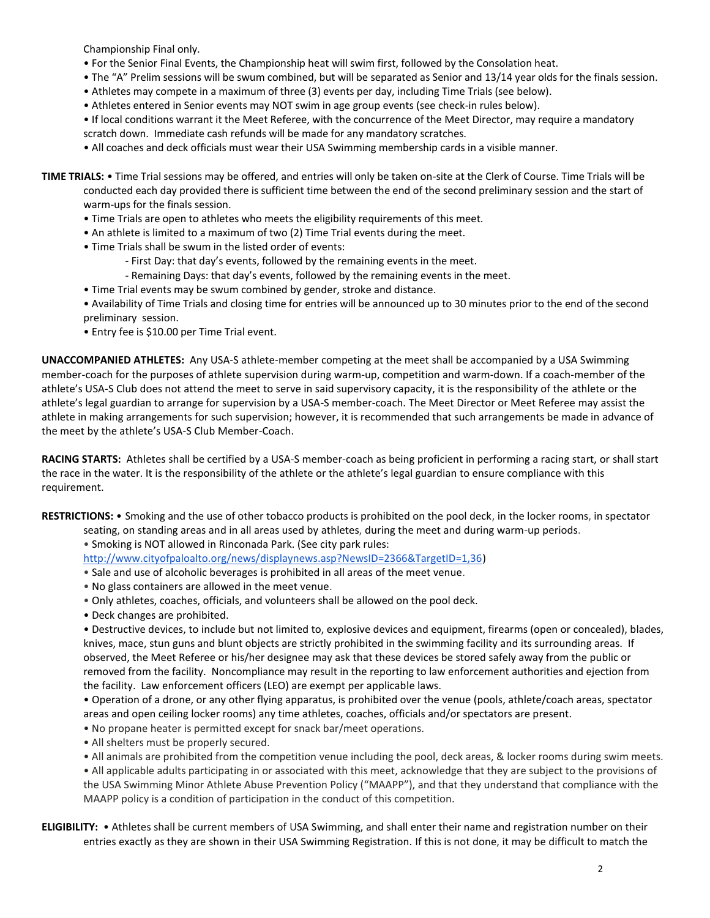Championship Final only.

- For the Senior Final Events, the Championship heat will swim first, followed by the Consolation heat.
- The "A" Prelim sessions will be swum combined, but will be separated as Senior and 13/14 year olds for the finals session.
- Athletes may compete in a maximum of three (3) events per day, including Time Trials (see below).
- Athletes entered in Senior events may NOT swim in age group events (see check-in rules below).
- If local conditions warrant it the Meet Referee, with the concurrence of the Meet Director, may require a mandatory scratch down. Immediate cash refunds will be made for any mandatory scratches.
- All coaches and deck officials must wear their USA Swimming membership cards in a visible manner.
- **TIME TRIALS:** Time Trial sessions may be offered, and entries will only be taken on-site at the Clerk of Course. Time Trials will be conducted each day provided there is sufficient time between the end of the second preliminary session and the start of warm-ups for the finals session.
	- Time Trials are open to athletes who meets the eligibility requirements of this meet.
	- An athlete is limited to a maximum of two (2) Time Trial events during the meet.
	- Time Trials shall be swum in the listed order of events:
		- First Day: that day's events, followed by the remaining events in the meet.
		- Remaining Days: that day's events, followed by the remaining events in the meet.
	- Time Trial events may be swum combined by gender, stroke and distance.
	- Availability of Time Trials and closing time for entries will be announced up to 30 minutes prior to the end of the second preliminary session.
	- Entry fee is \$10.00 per Time Trial event.

**UNACCOMPANIED ATHLETES:** Any USA-S athlete-member competing at the meet shall be accompanied by a USA Swimming member-coach for the purposes of athlete supervision during warm-up, competition and warm-down. If a coach-member of the athlete's USA-S Club does not attend the meet to serve in said supervisory capacity, it is the responsibility of the athlete or the athlete's legal guardian to arrange for supervision by a USA-S member-coach. The Meet Director or Meet Referee may assist the athlete in making arrangements for such supervision; however, it is recommended that such arrangements be made in advance of the meet by the athlete's USA-S Club Member-Coach.

**RACING STARTS:** Athletes shall be certified by a USA-S member-coach as being proficient in performing a racing start, or shall start the race in the water. It is the responsibility of the athlete or the athlete's legal guardian to ensure compliance with this requirement.

**RESTRICTIONS:** • Smoking and the use of other tobacco products is prohibited on the pool deck, in the locker rooms, in spectator

- seating, on standing areas and in all areas used by athletes, during the meet and during warm-up periods.
	- Smoking is NOT allowed in Rinconada Park. (See city park rules:

[http://www.cityofpaloalto.org/news/displaynews.asp?NewsID=2366&TargetID=1,36\)](http://www.cityofpaloalto.org/news/displaynews.asp?NewsID=2366&TargetID=1,36)

- Sale and use of alcoholic beverages is prohibited in all areas of the meet venue.
- No glass containers are allowed in the meet venue.
- Only athletes, coaches, officials, and volunteers shall be allowed on the pool deck.
- Deck changes are prohibited.

• Destructive devices, to include but not limited to, explosive devices and equipment, firearms (open or concealed), blades, knives, mace, stun guns and blunt objects are strictly prohibited in the swimming facility and its surrounding areas. If observed, the Meet Referee or his/her designee may ask that these devices be stored safely away from the public or removed from the facility. Noncompliance may result in the reporting to law enforcement authorities and ejection from the facility. Law enforcement officers (LEO) are exempt per applicable laws.

• Operation of a drone, or any other flying apparatus, is prohibited over the venue (pools, athlete/coach areas, spectator areas and open ceiling locker rooms) any time athletes, coaches, officials and/or spectators are present.

• No propane heater is permitted except for snack bar/meet operations.

- All shelters must be properly secured.
- All animals are prohibited from the competition venue including the pool, deck areas, & locker rooms during swim meets. • All applicable adults participating in or associated with this meet, acknowledge that they are subject to the provisions of the USA Swimming Minor Athlete Abuse Prevention Policy ("MAAPP"), and that they understand that compliance with the MAAPP policy is a condition of participation in the conduct of this competition.
- **ELIGIBILITY:** Athletes shall be current members of USA Swimming, and shall enter their name and registration number on their entries exactly as they are shown in their USA Swimming Registration. If this is not done, it may be difficult to match the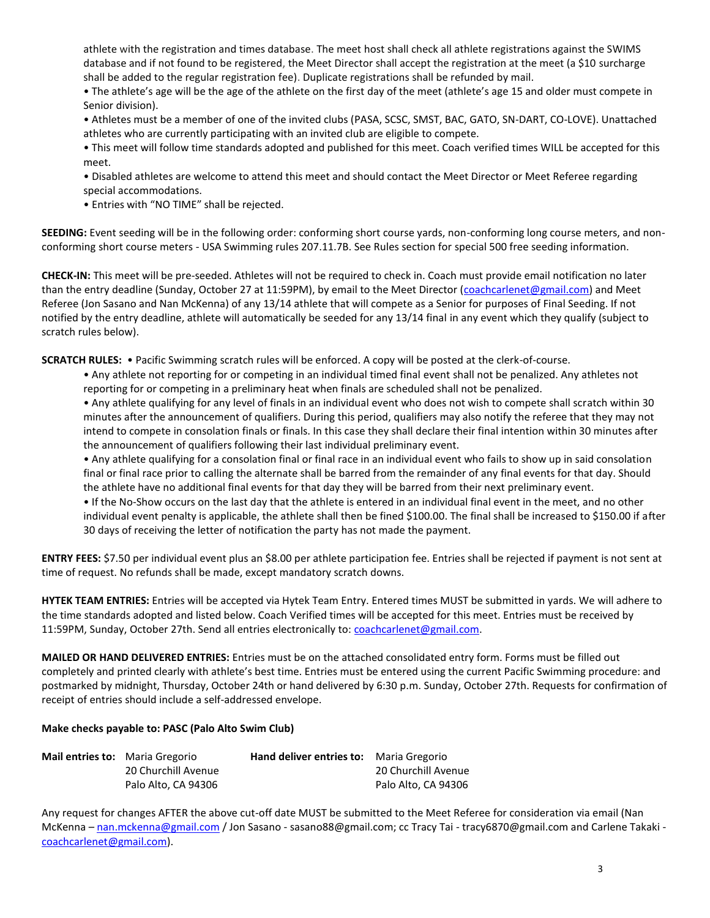athlete with the registration and times database. The meet host shall check all athlete registrations against the SWIMS database and if not found to be registered, the Meet Director shall accept the registration at the meet (a \$10 surcharge shall be added to the regular registration fee). Duplicate registrations shall be refunded by mail.

• The athlete's age will be the age of the athlete on the first day of the meet (athlete's age 15 and older must compete in Senior division).

• Athletes must be a member of one of the invited clubs (PASA, SCSC, SMST, BAC, GATO, SN-DART, CO-LOVE). Unattached athletes who are currently participating with an invited club are eligible to compete.

• This meet will follow time standards adopted and published for this meet. Coach verified times WILL be accepted for this meet.

• Disabled athletes are welcome to attend this meet and should contact the Meet Director or Meet Referee regarding special accommodations.

• Entries with "NO TIME" shall be rejected.

**SEEDING:** Event seeding will be in the following order: conforming short course yards, non-conforming long course meters, and nonconforming short course meters - USA Swimming rules 207.11.7B. See Rules section for special 500 free seeding information.

**CHECK-IN:** This meet will be pre-seeded. Athletes will not be required to check in. Coach must provide email notification no later than the entry deadline (Sunday, October 27 at 11:59PM), by email to the Meet Director [\(coachcarlenet@gmail.com\)](mailto:coachcarlenet@gmail.com) and Meet Referee (Jon Sasano and Nan McKenna) of any 13/14 athlete that will compete as a Senior for purposes of Final Seeding. If not notified by the entry deadline, athlete will automatically be seeded for any 13/14 final in any event which they qualify (subject to scratch rules below).

**SCRATCH RULES:** • Pacific Swimming scratch rules will be enforced. A copy will be posted at the clerk-of-course.

• Any athlete not reporting for or competing in an individual timed final event shall not be penalized. Any athletes not reporting for or competing in a preliminary heat when finals are scheduled shall not be penalized.

• Any athlete qualifying for any level of finals in an individual event who does not wish to compete shall scratch within 30 minutes after the announcement of qualifiers. During this period, qualifiers may also notify the referee that they may not intend to compete in consolation finals or finals. In this case they shall declare their final intention within 30 minutes after the announcement of qualifiers following their last individual preliminary event.

• Any athlete qualifying for a consolation final or final race in an individual event who fails to show up in said consolation final or final race prior to calling the alternate shall be barred from the remainder of any final events for that day. Should the athlete have no additional final events for that day they will be barred from their next preliminary event.

• If the No-Show occurs on the last day that the athlete is entered in an individual final event in the meet, and no other individual event penalty is applicable, the athlete shall then be fined \$100.00. The final shall be increased to \$150.00 if after 30 days of receiving the letter of notification the party has not made the payment.

**ENTRY FEES:** \$7.50 per individual event plus an \$8.00 per athlete participation fee. Entries shall be rejected if payment is not sent at time of request. No refunds shall be made, except mandatory scratch downs.

**HYTEK TEAM ENTRIES:** Entries will be accepted via Hytek Team Entry. Entered times MUST be submitted in yards. We will adhere to the time standards adopted and listed below. Coach Verified times will be accepted for this meet. Entries must be received by 11:59PM, Sunday, October 27th. Send all entries electronically to: coachcarlenet@gmail.com.

**MAILED OR HAND DELIVERED ENTRIES:** Entries must be on the attached consolidated entry form. Forms must be filled out completely and printed clearly with athlete's best time. Entries must be entered using the current Pacific Swimming procedure: and postmarked by midnight, Thursday, October 24th or hand delivered by 6:30 p.m. Sunday, October 27th. Requests for confirmation of receipt of entries should include a self-addressed envelope.

### **Make checks payable to: PASC (Palo Alto Swim Club)**

| <b>Mail entries to:</b> Maria Gregorio |                     | <b>Hand deliver entries to:</b> Maria Gregorio |                     |
|----------------------------------------|---------------------|------------------------------------------------|---------------------|
|                                        | 20 Churchill Avenue |                                                | 20 Churchill Avenue |
|                                        | Palo Alto, CA 94306 |                                                | Palo Alto. CA 94306 |

Any request for changes AFTER the above cut-off date MUST be submitted to the Meet Referee for consideration via email (Nan McKenna - [nan.mckenna@gmail.com](mailto:nan.mckenna@gmail.com) / Jon Sasano - sasano88@gmail.com; cc Tracy Tai - tracy6870@gmail.com and Carlene Takaki [coachcarlenet@gmail.com\)](mailto:coachcarlenet@gmail.com).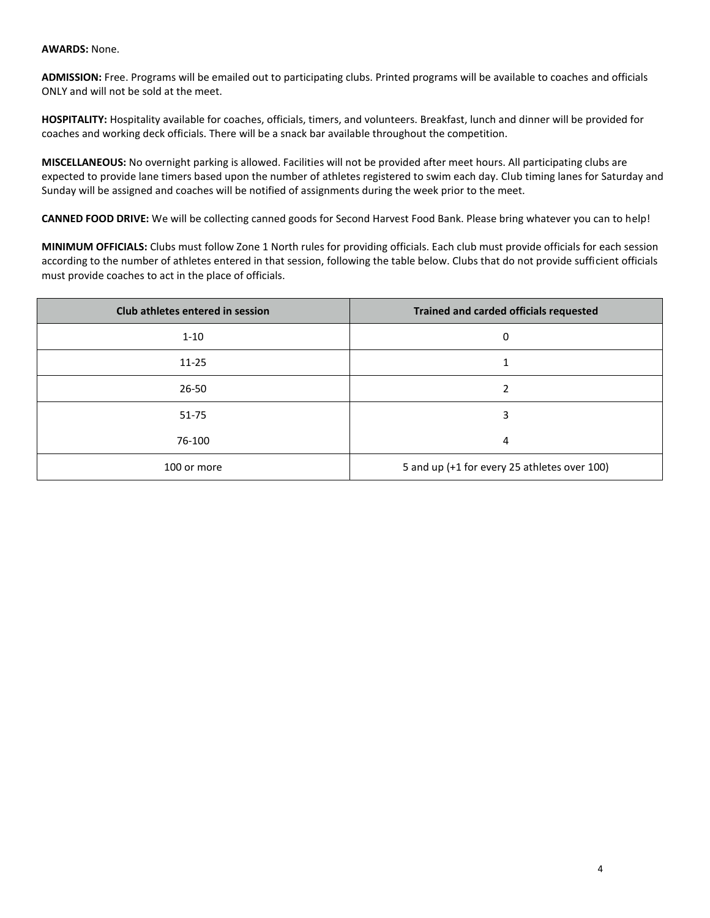#### **AWARDS:** None.

**ADMISSION:** Free. Programs will be emailed out to participating clubs. Printed programs will be available to coaches and officials ONLY and will not be sold at the meet.

**HOSPITALITY:** Hospitality available for coaches, officials, timers, and volunteers. Breakfast, lunch and dinner will be provided for coaches and working deck officials. There will be a snack bar available throughout the competition.

**MISCELLANEOUS:** No overnight parking is allowed. Facilities will not be provided after meet hours. All participating clubs are expected to provide lane timers based upon the number of athletes registered to swim each day. Club timing lanes for Saturday and Sunday will be assigned and coaches will be notified of assignments during the week prior to the meet.

**CANNED FOOD DRIVE:** We will be collecting canned goods for Second Harvest Food Bank. Please bring whatever you can to help!

**MINIMUM OFFICIALS:** Clubs must follow Zone 1 North rules for providing officials. Each club must provide officials for each session according to the number of athletes entered in that session, following the table below. Clubs that do not provide sufficient officials must provide coaches to act in the place of officials.

| Club athletes entered in session | <b>Trained and carded officials requested</b> |
|----------------------------------|-----------------------------------------------|
| $1 - 10$                         | 0                                             |
| $11 - 25$                        |                                               |
| $26 - 50$                        |                                               |
| $51 - 75$                        | 3                                             |
| 76-100                           | 4                                             |
| 100 or more                      | 5 and up (+1 for every 25 athletes over 100)  |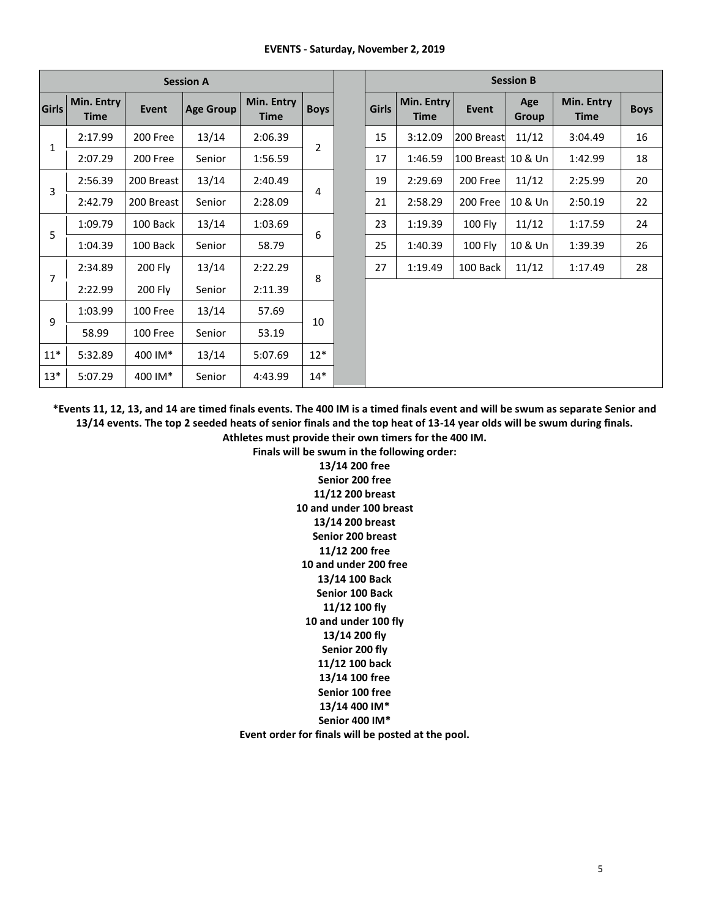#### **EVENTS - Saturday, November 2, 2019**

|                |                           |              | <b>Session A</b> |                           |             |              |                           |                     | <b>Session B</b> |                           |             |
|----------------|---------------------------|--------------|------------------|---------------------------|-------------|--------------|---------------------------|---------------------|------------------|---------------------------|-------------|
| <b>Girls</b>   | Min. Entry<br><b>Time</b> | <b>Event</b> | <b>Age Group</b> | Min. Entry<br><b>Time</b> | <b>Boys</b> | <b>Girls</b> | Min. Entry<br><b>Time</b> | <b>Event</b>        | Age<br>Group     | Min. Entry<br><b>Time</b> | <b>Boys</b> |
| $\mathbf{1}$   | 2:17.99                   | 200 Free     | 13/14            | 2:06.39                   | 2           | 15           | 3:12.09                   | 200 Breast          | 11/12            | 3:04.49                   | 16          |
|                | 2:07.29                   | 200 Free     | Senior           | 1:56.59                   |             | 17           | 1:46.59                   | 100 Breast  10 & Un |                  | 1:42.99                   | 18          |
| 3              | 2:56.39                   | 200 Breast   | 13/14            | 2:40.49                   |             | 19           | 2:29.69                   | 200 Free            | 11/12            | 2:25.99                   | 20          |
|                | 2:42.79                   | 200 Breast   | Senior           | 2:28.09                   | 4           | 21           | 2:58.29                   | 200 Free            | 10 & Un          | 2:50.19                   | 22          |
| 5              | 1:09.79                   | 100 Back     | 13/14            | 1:03.69                   | 6           | 23           | 1:19.39                   | 100 Fly             | 11/12            | 1:17.59                   | 24          |
|                | 1:04.39                   | 100 Back     | Senior           | 58.79                     |             | 25           | 1:40.39                   | <b>100 Fly</b>      | 10 & Un          | 1:39.39                   | 26          |
| $\overline{7}$ | 2:34.89                   | 200 Fly      | 13/14            | 2:22.29                   |             | 27           | 1:19.49                   | 100 Back            | 11/12            | 1:17.49                   | 28          |
|                | 2:22.99                   | 200 Fly      | Senior           | 2:11.39                   | 8           |              |                           |                     |                  |                           |             |
|                | 1:03.99                   | 100 Free     | 13/14            | 57.69                     |             |              |                           |                     |                  |                           |             |
| 9              | 58.99                     | 100 Free     | Senior           | 53.19                     | 10          |              |                           |                     |                  |                           |             |
| $11*$          | 5:32.89                   | 400 IM*      | 13/14            | 5:07.69                   | $12*$       |              |                           |                     |                  |                           |             |
| $13*$          | 5:07.29                   | 400 IM*      | Senior           | 4:43.99                   | $14*$       |              |                           |                     |                  |                           |             |

**\*Events 11, 12, 13, and 14 are timed finals events. The 400 IM is a timed finals event and will be swum as separate Senior and 13/14 events. The top 2 seeded heats of senior finals and the top heat of 13-14 year olds will be swum during finals.**

**Athletes must provide their own timers for the 400 IM.**

**Finals will be swum in the following order: 13/14 200 free Senior 200 free 11/12 200 breast 10 and under 100 breast 13/14 200 breast Senior 200 breast 11/12 200 free 10 and under 200 free 13/14 100 Back Senior 100 Back 11/12 100 fly 10 and under 100 fly 13/14 200 fly Senior 200 fly 11/12 100 back 13/14 100 free Senior 100 free 13/14 400 IM\* Senior 400 IM\*** 

**Event order for finals will be posted at the pool.**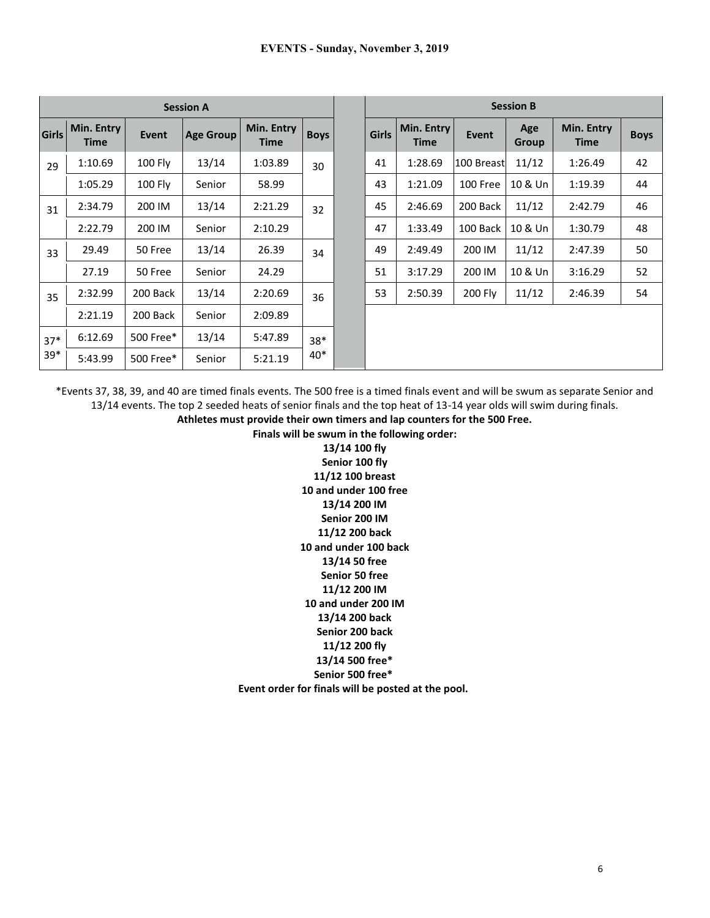|              |                           |                | <b>Session A</b> |                           |             | <b>Session B</b> |                           |            |              |                           |             |
|--------------|---------------------------|----------------|------------------|---------------------------|-------------|------------------|---------------------------|------------|--------------|---------------------------|-------------|
| <b>Girls</b> | Min. Entry<br><b>Time</b> | <b>Event</b>   | <b>Age Group</b> | Min. Entry<br><b>Time</b> | <b>Boys</b> | <b>Girls</b>     | Min. Entry<br><b>Time</b> | Event      | Age<br>Group | Min. Entry<br><b>Time</b> | <b>Boys</b> |
| 29           | 1:10.69                   | <b>100 Fly</b> | 13/14            | 1:03.89                   | 30          | 41               | 1:28.69                   | 100 Breast | 11/12        | 1:26.49                   | 42          |
|              | 1:05.29                   | <b>100 Fly</b> | Senior           | 58.99                     |             | 43               | 1:21.09                   | 100 Free   | 10 & Un      | 1:19.39                   | 44          |
| 31           | 2:34.79                   | 200 IM         | 13/14            | 2:21.29                   | 32          | 45               | 2:46.69                   | 200 Back   | 11/12        | 2:42.79                   | 46          |
|              | 2:22.79                   | 200 IM         | Senior           | 2:10.29                   |             | 47               | 1:33.49                   | 100 Back   | 10 & Un      | 1:30.79                   | 48          |
| 33           | 29.49                     | 50 Free        | 13/14            | 26.39                     | 34          | 49               | 2:49.49                   | 200 IM     | 11/12        | 2:47.39                   | 50          |
|              | 27.19                     | 50 Free        | Senior           | 24.29                     |             | 51               | 3:17.29                   | 200 IM     | 10 & Un      | 3:16.29                   | 52          |
| 35           | 2:32.99                   | 200 Back       | 13/14            | 2:20.69                   | 36          | 53               | 2:50.39                   | 200 Fly    | 11/12        | 2:46.39                   | 54          |
|              | 2:21.19                   | 200 Back       | Senior           | 2:09.89                   |             |                  |                           |            |              |                           |             |
| $37*$        | 6:12.69                   | 500 Free*      | 13/14            | 5:47.89                   | $38*$       |                  |                           |            |              |                           |             |
| $39*$        | 5:43.99                   | 500 Free*      | Senior           | 5:21.19                   | 40*         |                  |                           |            |              |                           |             |

\*Events 37, 38, 39, and 40 are timed finals events. The 500 free is a timed finals event and will be swum as separate Senior and 13/14 events. The top 2 seeded heats of senior finals and the top heat of 13-14 year olds will swim during finals.

**Athletes must provide their own timers and lap counters for the 500 Free.** 

**Finals will be swum in the following order:**

**13/14 100 fly Senior 100 fly 11/12 100 breast 10 and under 100 free 13/14 200 IM Senior 200 IM 11/12 200 back 10 and under 100 back 13/14 50 free Senior 50 free 11/12 200 IM 10 and under 200 IM 13/14 200 back Senior 200 back 11/12 200 fly 13/14 500 free\* Senior 500 free\* Event order for finals will be posted at the pool.**